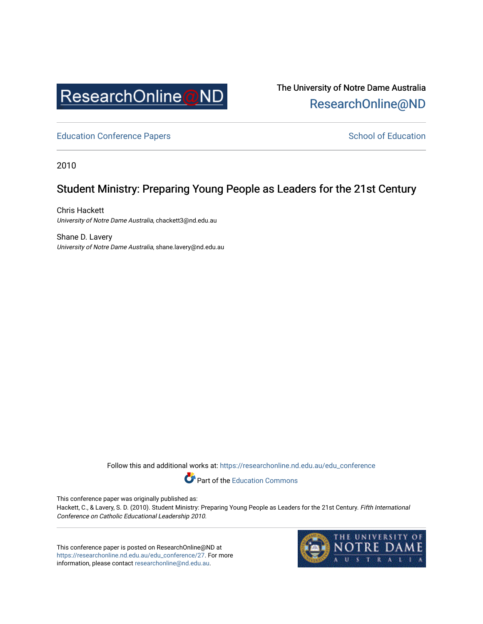

The University of Notre Dame Australia [ResearchOnline@ND](https://researchonline.nd.edu.au/) 

[Education Conference Papers](https://researchonline.nd.edu.au/edu_conference) **School of Education** School of Education

2010

# Student Ministry: Preparing Young People as Leaders for the 21st Century

Chris Hackett University of Notre Dame Australia, chackett3@nd.edu.au

Shane D. Lavery University of Notre Dame Australia, shane.lavery@nd.edu.au

Follow this and additional works at: [https://researchonline.nd.edu.au/edu\\_conference](https://researchonline.nd.edu.au/edu_conference?utm_source=researchonline.nd.edu.au%2Fedu_conference%2F27&utm_medium=PDF&utm_campaign=PDFCoverPages)

Part of the [Education Commons](http://network.bepress.com/hgg/discipline/784?utm_source=researchonline.nd.edu.au%2Fedu_conference%2F27&utm_medium=PDF&utm_campaign=PDFCoverPages) 

This conference paper was originally published as:

Hackett, C., & Lavery, S. D. (2010). Student Ministry: Preparing Young People as Leaders for the 21st Century. Fifth International Conference on Catholic Educational Leadership 2010.

This conference paper is posted on ResearchOnline@ND at [https://researchonline.nd.edu.au/edu\\_conference/27.](https://researchonline.nd.edu.au/edu_conference/27) For more information, please contact [researchonline@nd.edu.au.](mailto:researchonline@nd.edu.au)

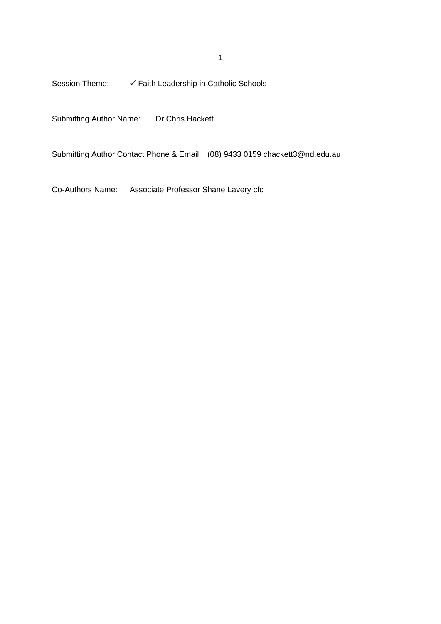Session Theme:  $\checkmark$  Faith Leadership in Catholic Schools

Submitting Author Name: Dr Chris Hackett

Submitting Author Contact Phone & Email: (08) 9433 0159 chackett3@nd.edu.au

Co-Authors Name: Associate Professor Shane Lavery cfc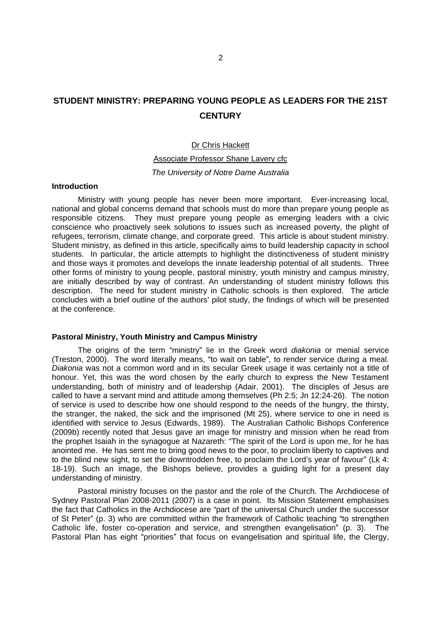# **STUDENT MINISTRY: PREPARING YOUNG PEOPLE AS LEADERS FOR THE 21ST CENTURY**

### Dr Chris Hackett

# Associate Professor Shane Lavery cfc The University of Notre Dame Australia

#### **Introduction**

Ministry with young people has never been more important. Ever-increasing local, national and global concerns demand that schools must do more than prepare young people as responsible citizens. They must prepare young people as emerging leaders with a civic conscience who proactively seek solutions to issues such as increased poverty, the plight of refugees, terrorism, climate change, and corporate greed. This article is about student ministry. Student ministry, as defined in this article, specifically aims to build leadership capacity in school students. In particular, the article attempts to highlight the distinctiveness of student ministry and those ways it promotes and develops the innate leadership potential of all students. Three other forms of ministry to young people, pastoral ministry, youth ministry and campus ministry, are initially described by way of contrast. An understanding of student ministry follows this description. The need for student ministry in Catholic schools is then explored. The article concludes with a brief outline of the authors' pilot study, the findings of which will be presented at the conference.

# **Pastoral Ministry, Youth Ministry and Campus Ministry**

The origins of the term "ministry" lie in the Greek word diakonia or menial service (Treston, 2000). The word literally means, "to wait on table", to render service during a meal. Diakonia was not a common word and in its secular Greek usage it was certainly not a title of honour. Yet, this was the word chosen by the early church to express the New Testament understanding, both of ministry and of leadership (Adair, 2001). The disciples of Jesus are called to have a servant mind and attitude among themselves (Ph 2:5; Jn 12:24-26). The notion of service is used to describe how one should respond to the needs of the hungry, the thirsty, the stranger, the naked, the sick and the imprisoned (Mt 25), where service to one in need is identified with service to Jesus (Edwards, 1989). The Australian Catholic Bishops Conference (2009b) recently noted that Jesus gave an image for ministry and mission when he read from the prophet Isaiah in the synagogue at Nazareth: "The spirit of the Lord is upon me, for he has anointed me. He has sent me to bring good news to the poor, to proclaim liberty to captives and to the blind new sight, to set the downtrodden free, to proclaim the Lord's year of favour" (Lk 4: 18-19). Such an image, the Bishops believe, provides a guiding light for a present day understanding of ministry.

Pastoral ministry focuses on the pastor and the role of the Church. The Archdiocese of Sydney Pastoral Plan 2008-2011 (2007) is a case in point. Its Mission Statement emphasises the fact that Catholics in the Archdiocese are "part of the universal Church under the successor of St Peter" (p. 3) who are committed within the framework of Catholic teaching "to strengthen Catholic life, foster co-operation and service, and strengthen evangelisation" (p. 3). The Pastoral Plan has eight "priorities" that focus on evangelisation and spiritual life, the Clergy,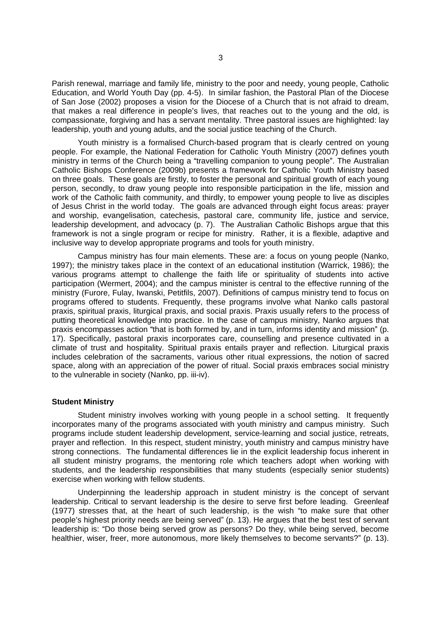Parish renewal, marriage and family life, ministry to the poor and needy, young people, Catholic Education, and World Youth Day (pp. 4-5). In similar fashion, the Pastoral Plan of the Diocese of San Jose (2002) proposes a vision for the Diocese of a Church that is not afraid to dream, that makes a real difference in people's lives, that reaches out to the young and the old, is compassionate, forgiving and has a servant mentality. Three pastoral issues are highlighted: lay leadership, youth and young adults, and the social justice teaching of the Church.

Youth ministry is a formalised Church-based program that is clearly centred on young people. For example, the National Federation for Catholic Youth Ministry (2007) defines youth ministry in terms of the Church being a "travelling companion to young people". The Australian Catholic Bishops Conference (2009b) presents a framework for Catholic Youth Ministry based on three goals. These goals are firstly, to foster the personal and spiritual growth of each young person, secondly, to draw young people into responsible participation in the life, mission and work of the Catholic faith community, and thirdly, to empower young people to live as disciples of Jesus Christ in the world today. The goals are advanced through eight focus areas: prayer and worship, evangelisation, catechesis, pastoral care, community life, justice and service, leadership development, and advocacy (p. 7). The Australian Catholic Bishops argue that this framework is not a single program or recipe for ministry. Rather, it is a flexible, adaptive and inclusive way to develop appropriate programs and tools for youth ministry.

Campus ministry has four main elements. These are: a focus on young people (Nanko, 1997); the ministry takes place in the context of an educational institution (Warrick, 1986); the various programs attempt to challenge the faith life or spirituality of students into active participation (Wermert, 2004); and the campus minister is central to the effective running of the ministry (Furore, Fulay, Iwanski, Petitfils, 2007). Definitions of campus ministry tend to focus on programs offered to students. Frequently, these programs involve what Nanko calls pastoral praxis, spiritual praxis, liturgical praxis, and social praxis. Praxis usually refers to the process of putting theoretical knowledge into practice. In the case of campus ministry, Nanko argues that praxis encompasses action "that is both formed by, and in turn, informs identity and mission" (p. 17). Specifically, pastoral praxis incorporates care, counselling and presence cultivated in a climate of trust and hospitality. Spiritual praxis entails prayer and reflection. Liturgical praxis includes celebration of the sacraments, various other ritual expressions, the notion of sacred space, along with an appreciation of the power of ritual. Social praxis embraces social ministry to the vulnerable in society (Nanko, pp. iii-iv).

## **Student Ministry**

Student ministry involves working with young people in a school setting. It frequently incorporates many of the programs associated with youth ministry and campus ministry. Such programs include student leadership development, service-learning and social justice, retreats, prayer and reflection. In this respect, student ministry, youth ministry and campus ministry have strong connections. The fundamental differences lie in the explicit leadership focus inherent in all student ministry programs, the mentoring role which teachers adopt when working with students, and the leadership responsibilities that many students (especially senior students) exercise when working with fellow students.

Underpinning the leadership approach in student ministry is the concept of servant leadership. Critical to servant leadership is the desire to serve first before leading. Greenleaf  $(1977)$  stresses that, at the heart of such leadership, is the wish "to make sure that other people's highest priority needs are being served" (p. 13). He argues that the best test of servant leadership is: "Do those being served grow as persons? Do they, while being served, become healthier, wiser, freer, more autonomous, more likely themselves to become servants?" (p. 13).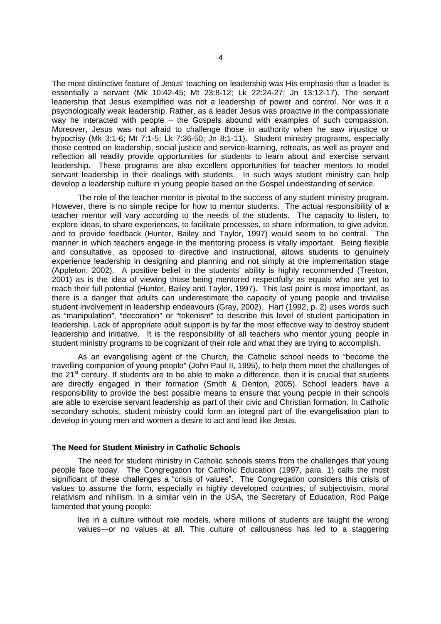The most distinctive feature of Jesus' teaching on leadership was His emphasis that a leader is essentially a servant (Mk 10:42-45; Mt 23:8-12; Lk 22:24-27; Jn 13:12-17). The servant leadership that Jesus exemplified was not a leadership of power and control. Nor was it a psychologically weak leadership. Rather, as a leader Jesus was proactive in the compassionate way he interacted with people  $-$  the Gospels abound with examples of such compassion. Moreover, Jesus was not afraid to challenge those in authority when he saw injustice or hypocrisy (Mk 3:1-6; Mt 7:1-5; Lk 7:36-50; Jn 8:1-11). Student ministry programs, especially those centred on leadership, social justice and service-learning, retreats, as well as prayer and reflection all readily provide opportunities for students to learn about and exercise servant leadership. These programs are also excellent opportunities for teacher mentors to model servant leadership in their dealings with students. In such ways student ministry can help develop a leadership culture in young people based on the Gospel understanding of service.

The role of the teacher mentor is pivotal to the success of any student ministry program. However, there is no simple recipe for how to mentor students. The actual responsibility of a teacher mentor will vary according to the needs of the students. The capacity to listen, to explore ideas, to share experiences, to facilitate processes, to share information, to give advice, and to provide feedback (Hunter, Bailey and Taylor, 1997) would seem to be central. The manner in which teachers engage in the mentoring process is vitally important. Being flexible and consultative, as opposed to directive and instructional, allows students to genuinely experience leadership in designing and planning and not simply at the implementation stage (Appleton, 2002). A positive belief in the students' ability is highly recommended (Treston, 2001) as is the idea of viewing those being mentored respectfully as equals who are yet to reach their full potential (Hunter, Bailey and Taylor, 1997). This last point is most important, as there is a danger that adults can underestimate the capacity of young people and trivialise student involvement in leadership endeavours (Gray, 2002). Hart (1992, p. 2) uses words such as "manipulation", "decoration" or "tokenism" to describe this level of student participation in leadership. Lack of appropriate adult support is by far the most effective way to destroy student leadership and initiative. It is the responsibility of all teachers who mentor young people in student ministry programs to be cognizant of their role and what they are trying to accomplish.

As an evangelising agent of the Church, the Catholic school needs to "become the travelling companion of young people" (John Paul II, 1995), to help them meet the challenges of the 21<sup>st</sup> century. If students are to be able to make a difference, then it is crucial that students are directly engaged in their formation (Smith & Denton, 2005). School leaders have a responsibility to provide the best possible means to ensure that young people in their schools are able to exercise servant leadership as part of their civic and Christian formation. In Catholic secondary schools, student ministry could form an integral part of the evangelisation plan to develop in young men and women a desire to act and lead like Jesus.

## **The Need for Student Ministry in Catholic Schools**

The need for student ministry in Catholic schools stems from the challenges that young people face today. The Congregation for Catholic Education (1997, para. 1) calls the most significant of these challenges a "crisis of values". The Congregation considers this crisis of values to assume the form, especially in highly developed countries, of subjectivism, moral relativism and nihilism. In a similar vein in the USA, the Secretary of Education, Rod Paige lamented that young people:

live in a culture without role models, where millions of students are taught the wrong values-or no values at all. This culture of callousness has led to a staggering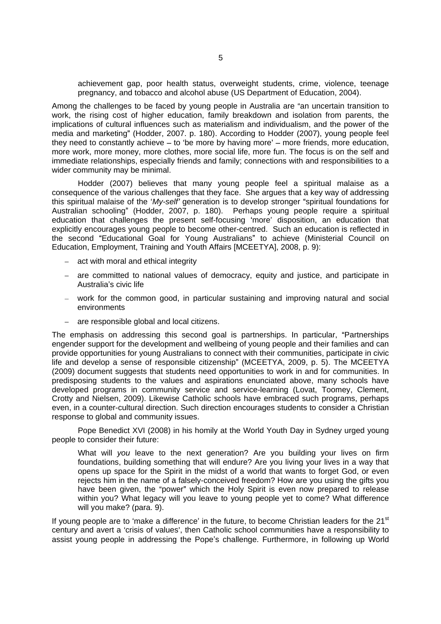achievement gap, poor health status, overweight students, crime, violence, teenage pregnancy, and tobacco and alcohol abuse (US Department of Education, 2004).

Among the challenges to be faced by young people in Australia are "an uncertain transition to work, the rising cost of higher education, family breakdown and isolation from parents, the implications of cultural influences such as materialism and individualism, and the power of the media and marketing" (Hodder, 2007. p. 180). According to Hodder (2007), young people feel they need to constantly achieve  $-$  to 'be more by having more'  $-$  more friends, more education, more work, more money, more clothes, more social life, more fun. The focus is on the self and immediate relationships, especially friends and family; connections with and responsibilities to a wider community may be minimal.

Hodder (2007) believes that many young people feel a spiritual malaise as a consequence of the various challenges that they face. She argues that a key way of addressing this spiritual malaise of the ' $Mv$ -self' generation is to develop stronger "spiritual foundations for Australian schooling" (Hodder, 2007, p. 180). Perhaps young people require a spiritual education that challenges the present self-focusing 'more' disposition, an education that explicitly encourages young people to become other-centred. Such an education is reflected in the second "Educational Goal for Young Australians" to achieve (Ministerial Council on Education, Employment, Training and Youth Affairs [MCEETYA], 2008, p. 9):

- $-$  act with moral and ethical integrity
- are committed to national values of democracy, equity and justice, and participate in Australia's civic life **contracts of the contracts of the contracts** of the contracts of the contracts of the contracts of the contracts of the contracts of the contracts of the contracts of the contracts of the contracts
- work for the common good, in particular sustaining and improving natural and social environments
- are responsible global and local citizens.  $\equiv$  .

The emphasis on addressing this second goal is partnerships. In particular, "Partnerships engender support for the development and wellbeing of young people and their families and can provide opportunities for young Australians to connect with their communities, participate in civic life and develop a sense of responsible citizenship" (MCEETYA, 2009, p. 5). The MCEETYA (2009) document suggests that students need opportunities to work in and for communities. In predisposing students to the values and aspirations enunciated above, many schools have developed programs in community service and service-learning (Lovat, Toomey, Clement, Crotty and Nielsen, 2009). Likewise Catholic schools have embraced such programs, perhaps even, in a counter-cultural direction. Such direction encourages students to consider a Christian response to global and community issues.

Pope Benedict XVI (2008) in his homily at the World Youth Day in Sydney urged young people to consider their future:

What will you leave to the next generation? Are you building your lives on firm foundations, building something that will endure? Are you living your lives in a way that opens up space for the Spirit in the midst of a world that wants to forget God, or even rejects him in the name of a falsely-conceived freedom? How are you using the gifts you have been given, the "power" which the Holy Spirit is even now prepared to release within you? What legacy will you leave to young people yet to come? What difference will you make? (para. 9).

If young people are to 'make a difference' in the future, to become Christian leaders for the  $21<sup>st</sup>$ st century and avert a 'crisis of values', then Catholic school communities have a responsibility to assist young people in addressing the Pope's challenge. Furthermore, in following up World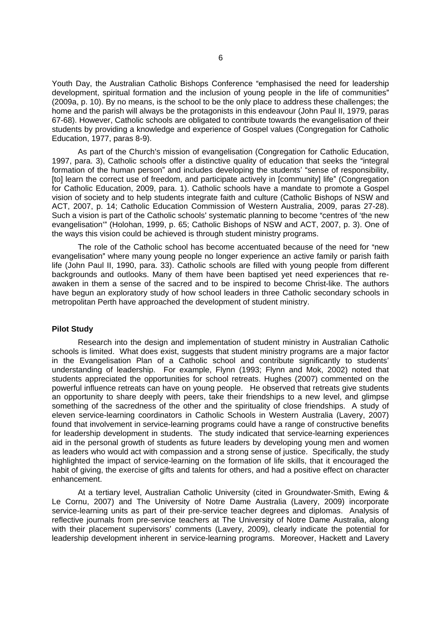Youth Day, the Australian Catholic Bishops Conference "emphasised the need for leadership development, spiritual formation and the inclusion of young people in the life of communities" (2009a, p. 10). By no means, is the school to be the only place to address these challenges; the home and the parish will always be the protagonists in this endeavour (John Paul II, 1979, paras 67-68). However, Catholic schools are obligated to contribute towards the evangelisation of their students by providing a knowledge and experience of Gospel values (Congregation for Catholic Education, 1977, paras 8-9).

As part of the Church's mission of evangelisation (Congregation for Catholic Education, 1997, para. 3), Catholic schools offer a distinctive quality of education that seeks the "integral formation of the human person" and includes developing the students' "sense of responsibility, [to] learn the correct use of freedom, and participate actively in [community] life" (Congregation for Catholic Education, 2009, para. 1). Catholic schools have a mandate to promote a Gospel vision of society and to help students integrate faith and culture (Catholic Bishops of NSW and ACT, 2007, p. 14; Catholic Education Commission of Western Australia, 2009, paras 27-28). Such a vision is part of the Catholic schools' systematic planning to become "centres of 'the new evangelisation" (Holohan, 1999, p. 65; Catholic Bishops of NSW and ACT, 2007, p. 3). One of the ways this vision could be achieved is through student ministry programs.

The role of the Catholic school has become accentuated because of the need for "new evangelisation" where many young people no longer experience an active family or parish faith life (John Paul II, 1990, para. 33). Catholic schools are filled with young people from different backgrounds and outlooks. Many of them have been baptised yet need experiences that re awaken in them a sense of the sacred and to be inspired to become Christ-like. The authors have begun an exploratory study of how school leaders in three Catholic secondary schools in metropolitan Perth have approached the development of student ministry.

#### **Pilot Study**

Research into the design and implementation of student ministry in Australian Catholic schools is limited. What does exist, suggests that student ministry programs are a major factor in the Evangelisation Plan of a Catholic school and contribute significantly to students understanding of leadership. For example, Flynn (1993; Flynn and Mok, 2002) noted that students appreciated the opportunities for school retreats. Hughes (2007) commented on the powerful influence retreats can have on young people. He observed that retreats give students an opportunity to share deeply with peers, take their friendships to a new level, and glimpse something of the sacredness of the other and the spirituality of close friendships. A study of eleven service-learning coordinators in Catholic Schools in Western Australia (Lavery, 2007) found that involvement in service-learning programs could have a range of constructive benefits for leadership development in students. The study indicated that service-learning experiences aid in the personal growth of students as future leaders by developing young men and women as leaders who would act with compassion and a strong sense of justice. Specifically, the study highlighted the impact of service-learning on the formation of life skills, that it encouraged the habit of giving, the exercise of gifts and talents for others, and had a positive effect on character enhancement.

At a tertiary level, Australian Catholic University (cited in Groundwater-Smith, Ewing & Le Cornu, 2007) and The University of Notre Dame Australia (Lavery, 2009) incorporate service-learning units as part of their pre-service teacher degrees and diplomas. Analysis of reflective journals from pre-service teachers at The University of Notre Dame Australia, along with their placement supervisors' comments (Lavery, 2009), clearly indicate the potential for leadership development inherent in service-learning programs. Moreover, Hackett and Lavery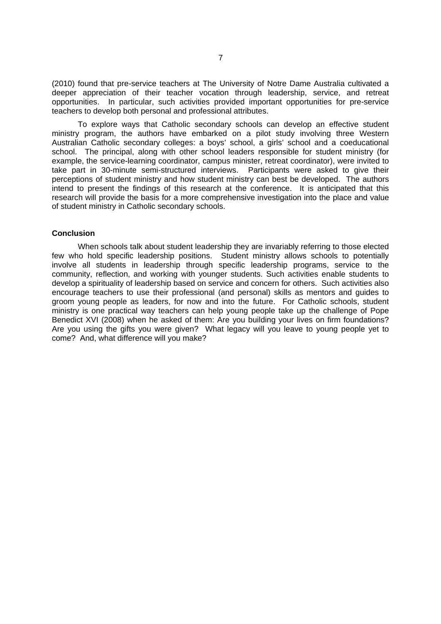(2010) found that pre-service teachers at The University of Notre Dame Australia cultivated a deeper appreciation of their teacher vocation through leadership, service, and retreat opportunities. In particular, such activities provided important opportunities for pre-service teachers to develop both personal and professional attributes.

To explore ways that Catholic secondary schools can develop an effective student ministry program, the authors have embarked on a pilot study involving three Western Australian Catholic secondary colleges: a boys' school, a girls' school and a coeducational school. The principal, along with other school leaders responsible for student ministry (for example, the service-learning coordinator, campus minister, retreat coordinator), were invited to take part in 30-minute semi-structured interviews. Participants were asked to give their perceptions of student ministry and how student ministry can best be developed. The authors intend to present the findings of this research at the conference. It is anticipated that this research will provide the basis for a more comprehensive investigation into the place and value of student ministry in Catholic secondary schools.

#### **Conclusion**

When schools talk about student leadership they are invariably referring to those elected few who hold specific leadership positions. Student ministry allows schools to potentially involve all students in leadership through specific leadership programs, service to the community, reflection, and working with younger students. Such activities enable students to develop a spirituality of leadership based on service and concern for others. Such activities also encourage teachers to use their professional (and personal) skills as mentors and guides to groom young people as leaders, for now and into the future. For Catholic schools, student ministry is one practical way teachers can help young people take up the challenge of Pope Benedict XVI (2008) when he asked of them: Are you building your lives on firm foundations? Are you using the gifts you were given? What legacy will you leave to young people yet to come? And, what difference will you make?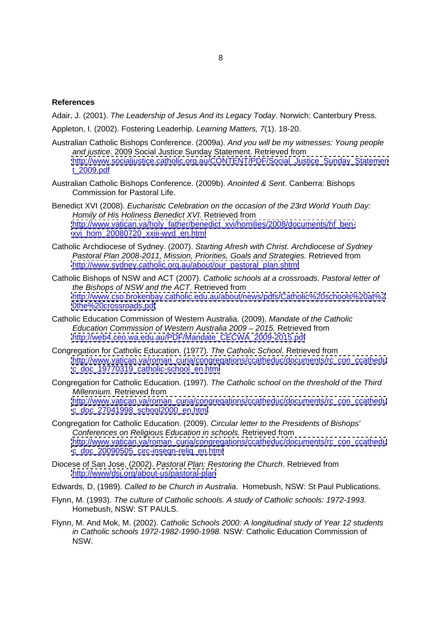#### **References**

Adair, J. (2001). The Leadership of Jesus And its Legacy Today. Norwich: Canterbury Press.

Appleton, I. (2002). Fostering Leaderhip. Learning Matters, 7(1). 18-20.

- Australian Catholic Bishops Conference. (2009a). And you will be my witnesses: Young people and justice. 2009 Social Justice Sunday Statement. Retrieved from [http://www.socialjustice.catholic.org.au/CONTENT/PDF/Social\\_Justice\\_Sunday\\_Statemen](http://www.socialjustice.catholic.org.au/CONTENT/PDF/Social_Justice_Sunday_Statemen) t\_2009.pdf
- Australian Catholic Bishops Conference. (2009b). Anointed & Sent. Canberra: Bishops Commission for Pastoral Life.
- Benedict XVI (2008). Eucharistic Celebration on the occasion of the 23rd World Youth Day: Homily of His Holiness Benedict XVI. Retrieved from [http://www.vatican.va/holy\\_father/benedict\\_xvi/homilies/2008/documents/hf\\_ben](http://www.vatican.va/holy_father/benedict_xvi/homilies/2008/documents/hf_ben-) [xvi\\_hom\\_20080720\\_xxiii-wyd\\_en.html](xvi_hom_20080720_xxiii-wyd_en.html)
- Catholic Archdiocese of Sydney. (2007). Starting Afresh with Christ. Archdiocese of Sydney Pastoral Plan 2008-2011, Mission, Priorities, Goals and Strategies. Retrieved from [http://www.sydney.catholic.org.au/about/our\\_pastoral\\_plan.shtml](http://www.sydney.catholic.org.au/about/our_pastoral_plan.shtml)
- Catholic Bishops of NSW and ACT (2007). Catholic schools at a crossroads. Pastoral letter of the Bishops of NSW and the ACT. Retrieved from <http://www.cso.brokenbay.catholic.edu.au/about/news/pdfs/Catholic%20schools%20at%2> <0the%20crossroads.pdf>
- Catholic Education Commission of Western Australia. (2009). Mandate of the Catholic Education Commission of Western Australia 2009 2015. Retrieved from [http://web4.ceo.wa.edu.au/PDF/Mandate\\_CECWA\\_2009-2015.pdf](http://web4.ceo.wa.edu.au/PDF/Mandate_CECWA_2009-2015.pdf)
- Congregation for Catholic Education. (1977). The Catholic School. Retrieved from [http://www.vatican.va/roman\\_curia/congregations/ccatheduc/documents/rc\\_con\\_ccathedu](http://www.vatican.va/roman_curia/congregations/ccatheduc/documents/rc_con_ccathedu) [c\\_doc\\_19770319\\_catholic-school\\_en.html](c_doc_19770319_catholic-school_en.html)
- Congregation for Catholic Education. (1997). The Catholic school on the threshold of the Third Millennium. Retrieved from [http://www.vatican.va/roman\\_curia/congregations/ccatheduc/documents/rc\\_con\\_ccathedu](http://www.vatican.va/roman_curia/congregations/ccatheduc/documents/rc_con_ccathedu) [c\\_doc\\_27041998\\_school2000\\_en.html](c_doc_27041998_school2000_en.html)
- Congregation for Catholic Education. (2009). Circular letter to the Presidents of Bishops' Conferences on Religious Education in schools. Retrieved from [http://www.vatican.va/roman\\_curia/congregations/ccatheduc/documents/rc\\_con\\_ccathedu](http://www.vatican.va/roman_curia/congregations/ccatheduc/documents/rc_con_ccathedu) [c\\_doc\\_20090505\\_circ-insegn-relig\\_en.html](c_doc_20090505_circ-insegn-relig_en.html)
- Diocese of San Jose, (2002). Pastoral Plan: Restoring the Church. Retrieved from <http://www/dsj.org/about-us/pastoral-plan>

Edwards, D, (1989). Called to be Church in Australia. Homebush, NSW: St Paul Publications.

- Flynn, M. (1993). The culture of Catholic schools. A study of Catholic schools: 1972-1993. Homebush, NSW: ST PAULS.
- Flynn, M. And Mok, M. (2002). Catholic Schools 2000: A longitudinal study of Year 12 students in Catholic schools 1972-1982-1990-1998. NSW: Catholic Education Commission of NSW.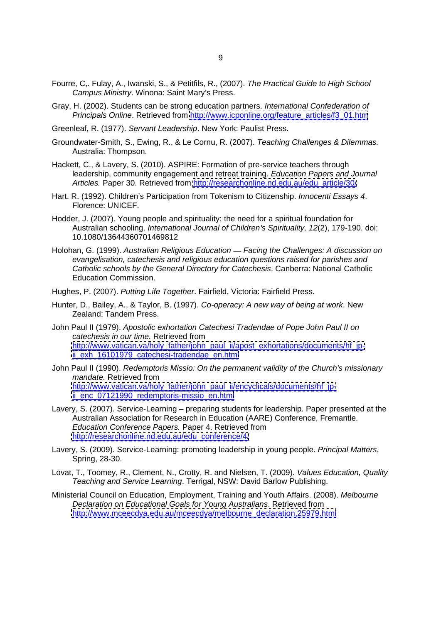- Fourre, C,. Fulay, A., Iwanski, S., & Petitfils, R., (2007). The Practical Guide to High School Campus Ministry. Winona: Saint Mary's Press.
- Gray, H. (2002). Students can be strong education partners. International Confederation of Principals Online. Retrieved from [http://www.icponline.org/feature\\_articles/f3\\_01.htm](http://www.icponline.org/feature_articles/f3_01.htm)
- Greenleaf, R. (1977). Servant Leadership. New York: Paulist Press.
- Groundwater-Smith, S., Ewing, R., & Le Cornu, R. (2007). Teaching Challenges & Dilemmas. Australia: Thompson.
- Hackett, C., & Lavery, S. (2010). ASPIRE: Formation of pre-service teachers through leadership, community engagement and retreat training. Education Papers and Journal Articles. Paper 30. Retrieved from [http://researchonline.nd.edu.au/edu\\_article/30/](http://researchonline.nd.edu.au/edu_article/30/)
- Hart. R. (1992). Children's Participation from Tokenism to Citizenship. *Innocenti Essays 4*.<br>Florence: UNICEF.
- Hodder, J. (2007). Young people and spirituality: the need for a spiritual foundation for Australian schooling. International Journal of Children's Spirituality, 12(2), 179-190. doi: 10.1080/13644360701469812
- Holohan, G. (1999). Australian Religious Education Facing the Challenges: A discussion on evangelisation, catechesis and religious education questions raised for parishes and Catholic schools by the General Directory for Catechesis. Canberra: National Catholic Education Commission.
- Hughes, P. (2007). Putting Life Together. Fairfield, Victoria: Fairfield Press.
- Hunter, D., Bailey, A., & Taylor, B. (1997). Co-operacy: A new way of being at work. New Zealand: Tandem Press.
- John Paul II (1979). Apostolic exhortation Catechesi Tradendae of Pope John Paul II on catechesis in our time. Retrieved from [http://www.vatican.va/holy\\_father/john\\_paul\\_ii/apost\\_exhortations/documents/hf\\_jp](http://www.vatican.va/holy_father/john_paul_ii/apost_exhortations/documents/hf_jp-)[ii\\_exh\\_16101979\\_catechesi-tradendae\\_en.html](ii_exh_16101979_catechesi-tradendae_en.html)
- John Paul II (1990). Redemptoris Missio: On the permanent validity of the Church's missionary mandate. Retrieved from [http://www.vatican.va/holy\\_father/john\\_paul\\_ii/encyclicals/documents/hf\\_jp](http://www.vatican.va/holy_father/john_paul_ii/encyclicals/documents/hf_jp-)[ii\\_enc\\_07121990\\_redemptoris-missio\\_en.html](ii_enc_07121990_redemptoris-missio_en.html)
- Lavery, S. (2007). Service-Learning preparing students for leadership. Paper presented at the Australian Association for Research in Education (AARE) Conference, Fremantle. Education Conference Papers. Paper 4. Retrieved from [http://researchonline.nd.edu.au/edu\\_conference/4/](http://researchonline.nd.edu.au/edu_conference/4/)
- Lavery, S. (2009). Service-Learning: promoting leadership in young people. Principal Matters,<br>Spring, 28-30.
- Lovat, T., Toomey, R., Clement, N., Crotty, R. and Nielsen, T. (2009). Values Education, Quality Teaching and Service Learning. Terrigal, NSW: David Barlow Publishing.
- Ministerial Council on Education, Employment, Training and Youth Affairs. (2008). Melbourne Declaration on Educational Goals for Young Australians. Retrieved from [http://www.mceecdya.edu.au/mceecdya/melbourne\\_declaration,25979.html](http://www.mceecdya.edu.au/mceecdya/melbourne_declaration,25979.html)